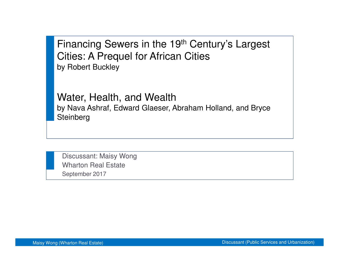Financing Sewers in the 19th Century's Largest Cities: A Prequel for African Citiesby Robert Buckley

Water, Health, and Wealth by Nava Ashraf, Edward Glaeser, Abraham Holland, and Bryce **Steinberg** 

Discussant: Maisy WongWharton Real EstateSeptember 2017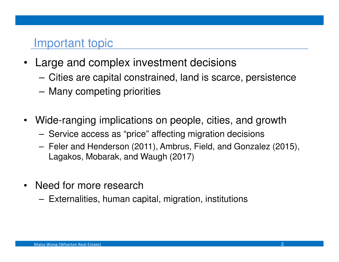#### Important topic

- $\bullet$  Large and complex investment decisions
	- –Cities are capital constrained, land is scarce, persistence
	- **Little Committee** Many competing priorities
- $\bullet$  Wide-ranging implications on people, cities, and growth
	- Service access as "price" affecting migration decisions
	- **Links of the Company**  Feler and Henderson (2011), Ambrus, Field, and Gonzalez (2015), Lagakos, Mobarak, and Waugh (2017)
- $\bullet$  Need for more research
	- Externalities, human capital, migration, institutions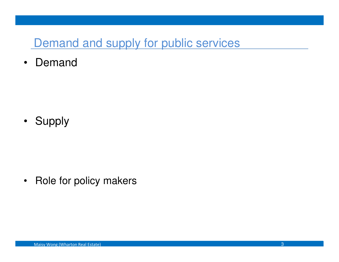### Demand and supply for public services

 $\bullet$ Demand

• Supply

•Role for policy makers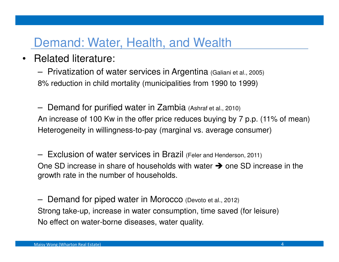### Demand: Water, Health, and Wealth

•Related literature:

> –Privatization of water services in Argentina (Galiani et al., 2005) 8% reduction in child mortality (municipalities from 1990 to 1999)

– Demand for purified water in Zambia (Ashraf et al., 2010) An increase of 100 Kw in the offer price reduces buying by 7 p.p. (11% of mean)Heterogeneity in willingness-to-pay (marginal vs. average consumer)

**Links of the Company**  Exclusion of water services in Brazil (Feler and Henderson, 2011) One SD increase in share of households with water  $\rightarrow$  one SD increase in the arowth rate in the number of households growth rate in the number of households.

–Demand for piped water in Morocco (Devoto et al., 2012) Strong take-up, increase in water consumption, time saved (for leisure)No effect on water-borne diseases, water quality.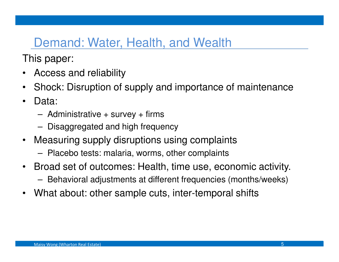## Demand: Water, Health, and Wealth

This paper:

- •Access and reliability
- •Shock: Disruption of supply and importance of maintenance
- • Data:
	- –Administrative + survey + firms
	- –Disaggregated and high frequency
- • Measuring supply disruptions using complaints
	- –Placebo tests: malaria, worms, other complaints
- • Broad set of outcomes: Health, time use, economic activity.
	- –Behavioral adjustments at different frequencies (months/weeks)
- •What about: other sample cuts, inter-temporal shifts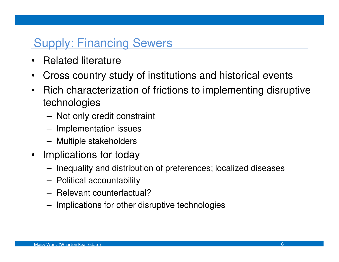# Supply: Financing Sewers

- •Related literature
- •Cross country study of institutions and historical events
- • Rich characterization of frictions to implementing disruptive technologies
	- Not only credit constraint
	- **Lating Community** Implementation issues
	- **Lating Community** Multiple stakeholders
- Implications for today
	- **Lating Community** Inequality and distribution of preferences; localized diseases
	- –Political accountability
	- –Relevant counterfactual?
	- –Implications for other disruptive technologies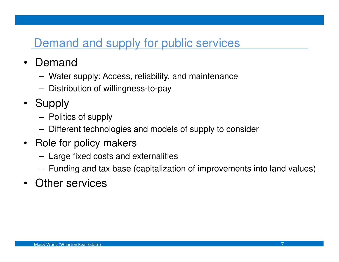### Demand and supply for public services

- $\bullet$  Demand
	- –Water supply: Access, reliability, and maintenance
	- **Lating Community** Distribution of willingness-to-pay
- Supply
	- **Lating Community** Politics of supply
	- –Different technologies and models of supply to consider
- $\bullet$  Role for policy makers
	- –Large fixed costs and externalities
	- –Funding and tax base (capitalization of improvements into land values)
- Other services